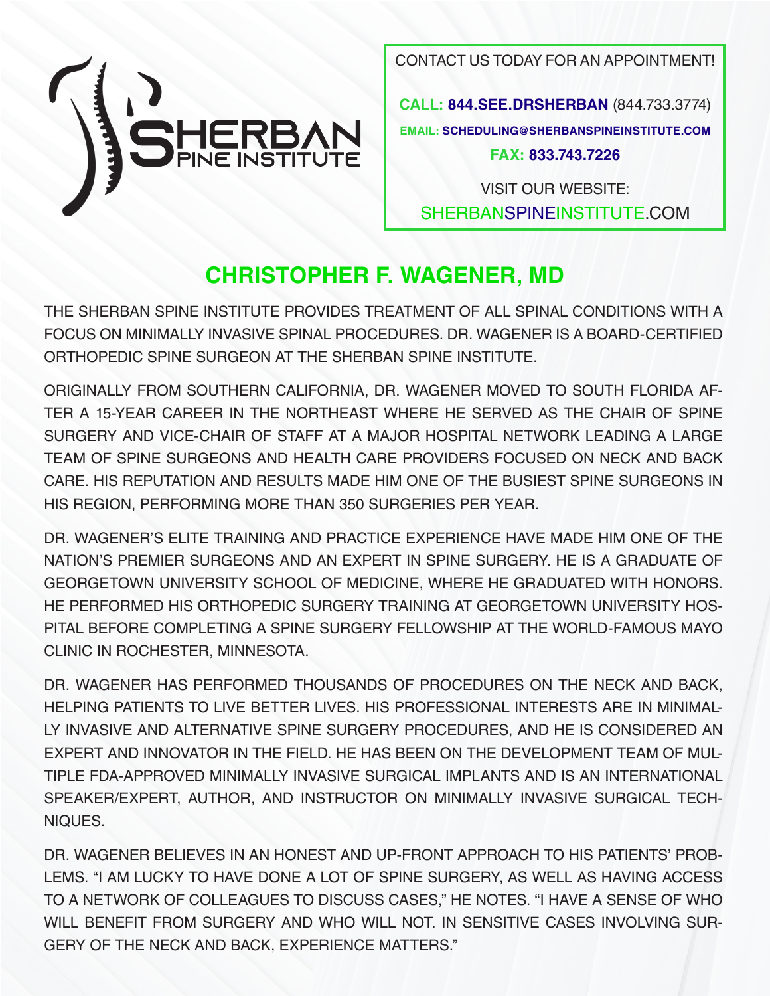

CONTACT US TODAY FOR AN APPOINTMENT!

**CALL: 844.SEE.DRSHERBAN** (844.733.3774) **EMAIL: SCHEDULING@SHERBANSPINEINSTITUTE.COM FAX: 833.743.7226**

VISIT OUR WEBSITE: SHERBANSPINEINSTITUTE.COM

### **CHRISTOPHER F. WAGENER, MD**

THE SHERBAN SPINE INSTITUTE PROVIDES TREATMENT OF ALL SPINAL CONDITIONS WITH A FOCUS ON MINIMALLY INVASIVE SPINAL PROCEDURES. DR. WAGENER IS A BOARD-CERTIFIED ORTHOPEDIC SPINE SURGEON AT THE SHERBAN SPINE INSTITUTE.

ORIGINALLY FROM SOUTHERN CALIFORNIA, DR. WAGENER MOVED TO SOUTH FLORIDA AF-TER A 15-YEAR CAREER IN THE NORTHEAST WHERE HE SERVED AS THE CHAIR OF SPINE SURGERY AND VICE-CHAIR OF STAFF AT A MAJOR HOSPITAL NETWORK LEADING A LARGE TEAM OF SPINE SURGEONS AND HEALTH CARE PROVIDERS FOCUSED ON NECK AND BACK CARE. HIS REPUTATION AND RESULTS MADE HIM ONE OF THE BUSIEST SPINE SURGEONS IN HIS REGION, PERFORMING MORE THAN 350 SURGERIES PER YEAR.

DR. WAGENER'S ELITE TRAINING AND PRACTICE EXPERIENCE HAVE MADE HIM ONE OF THE NATION'S PREMIER SURGEONS AND AN EXPERT IN SPINE SURGERY. HE IS A GRADUATE OF GEORGETOWN UNIVERSITY SCHOOL OF MEDICINE, WHERE HE GRADUATED WITH HONORS. HE PERFORMED HIS ORTHOPEDIC SURGERY TRAINING AT GEORGETOWN UNIVERSITY HOS-PITAL BEFORE COMPLETING A SPINE SURGERY FELLOWSHIP AT THE WORLD-FAMOUS MAYO CLINIC IN ROCHESTER, MINNESOTA.

DR. WAGENER HAS PERFORMED THOUSANDS OF PROCEDURES ON THE NECK AND BACK, HELPING PATIENTS TO LIVE BETTER LIVES. HIS PROFESSIONAL INTERESTS ARE IN MINIMAL-LY INVASIVE AND ALTERNATIVE SPINE SURGERY PROCEDURES, AND HE IS CONSIDERED AN EXPERT AND INNOVATOR IN THE FIELD. HE HAS BEEN ON THE DEVELOPMENT TEAM OF MUL-TIPLE FDA-APPROVED MINIMALLY INVASIVE SURGICAL IMPLANTS AND IS AN INTERNATIONAL SPEAKER/EXPERT, AUTHOR, AND INSTRUCTOR ON MINIMALLY INVASIVE SURGICAL TECH-NIQUES.

DR. WAGENER BELIEVES IN AN HONEST AND UP-FRONT APPROACH TO HIS PATIENTS' PROB-LEMS. "I AM LUCKY TO HAVE DONE A LOT OF SPINE SURGERY, AS WELL AS HAVING ACCESS TO A NETWORK OF COLLEAGUES TO DISCUSS CASES," HE NOTES. "I HAVE A SENSE OF WHO WILL BENEFIT FROM SURGERY AND WHO WILL NOT. IN SENSITIVE CASES INVOLVING SUR-GERY OF THE NECK AND BACK, EXPERIENCE MATTERS."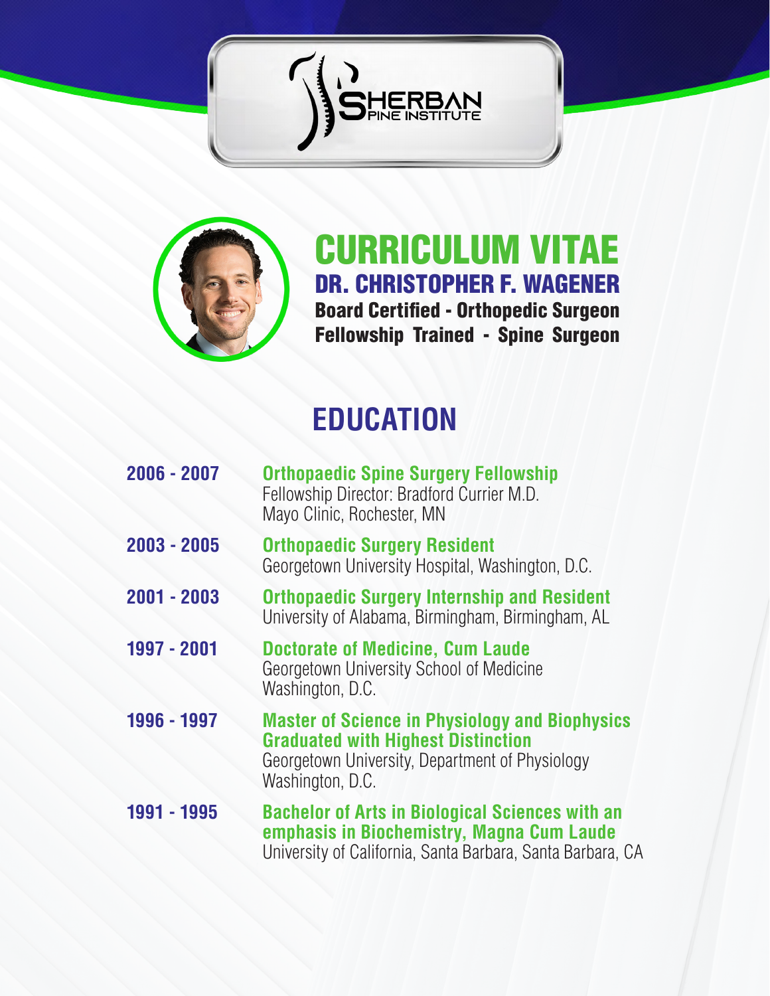



CURRICULUM VITAE DR. CHRISTOPHER F. WAGENER Board Certified - Orthopedic Surgeon Fellowship Trained - Spine Surgeon

## **EDUCATION**

| 2006 - 2007 | <b>Orthopaedic Spine Surgery Fellowship</b><br>Fellowship Director: Bradford Currier M.D.<br>Mayo Clinic, Rochester, MN                                                   |
|-------------|---------------------------------------------------------------------------------------------------------------------------------------------------------------------------|
| 2003 - 2005 | <b>Orthopaedic Surgery Resident</b><br>Georgetown University Hospital, Washington, D.C.                                                                                   |
| 2001 - 2003 | <b>Orthopaedic Surgery Internship and Resident</b><br>University of Alabama, Birmingham, Birmingham, AL                                                                   |
| 1997 - 2001 | <b>Doctorate of Medicine, Cum Laude</b><br>Georgetown University School of Medicine<br>Washington, D.C.                                                                   |
| 1996 - 1997 | <b>Master of Science in Physiology and Biophysics</b><br><b>Graduated with Highest Distinction</b><br>Georgetown University, Department of Physiology<br>Washington, D.C. |
| 1991 - 1995 | <b>Bachelor of Arts in Biological Sciences with an</b><br>emphasis in Biochemistry, Magna Cum Laude<br>University of California, Santa Barbara, Santa Barbara, CA         |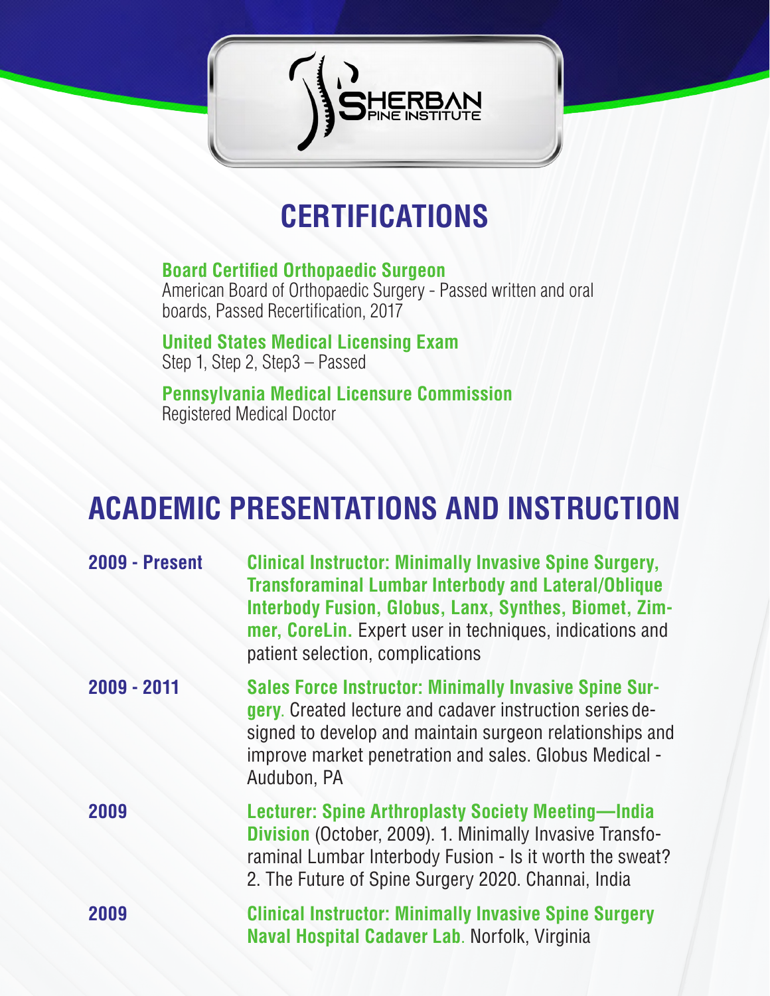

### **CERTIFICATIONS**

#### **Board Certified Orthopaedic Surgeon** American Board of Orthopaedic Surgery - Passed written and oral boards, Passed Recertification, 2017

**United States Medical Licensing Exam** Step 1, Step 2, Step3 – Passed

**Pennsylvania Medical Licensure Commission** Registered Medical Doctor

### **ACADEMIC PRESENTATIONS AND INSTRUCTION**

| <b>2009 - Present</b> | <b>Clinical Instructor: Minimally Invasive Spine Surgery,</b><br><b>Transforaminal Lumbar Interbody and Lateral/Oblique</b><br><b>Interbody Fusion, Globus, Lanx, Synthes, Biomet, Zim-</b><br>mer, CoreLin. Expert user in techniques, indications and<br>patient selection, complications |
|-----------------------|---------------------------------------------------------------------------------------------------------------------------------------------------------------------------------------------------------------------------------------------------------------------------------------------|
| 2009 - 2011           | <b>Sales Force Instructor: Minimally Invasive Spine Sur-</b><br>gery. Created lecture and cadaver instruction series de-<br>signed to develop and maintain surgeon relationships and<br>improve market penetration and sales. Globus Medical -<br>Audubon, PA                               |
| 2009                  | <b>Lecturer: Spine Arthroplasty Society Meeting-India</b><br><b>Division</b> (October, 2009). 1. Minimally Invasive Transfo-<br>raminal Lumbar Interbody Fusion - Is it worth the sweat?<br>2. The Future of Spine Surgery 2020. Channai, India                                             |
| 2009                  | <b>Clinical Instructor: Minimally Invasive Spine Surgery</b><br>Naval Hospital Cadaver Lab. Norfolk, Virginia                                                                                                                                                                               |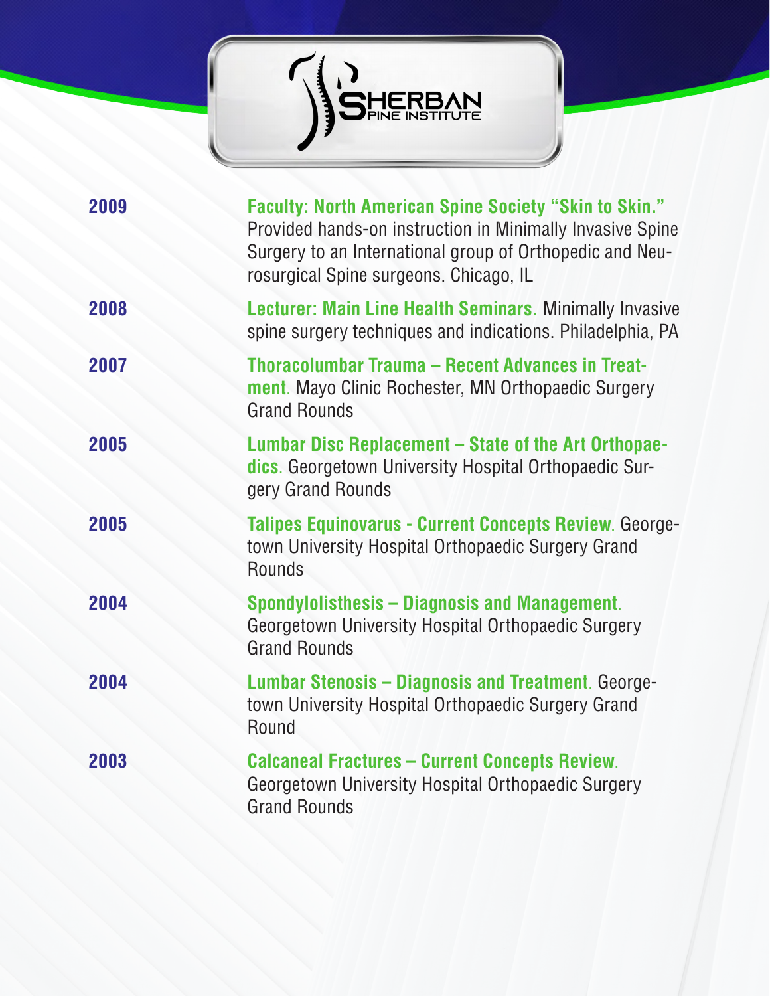

| 2009 | <b>Faculty: North American Spine Society "Skin to Skin."</b><br>Provided hands-on instruction in Minimally Invasive Spine<br>Surgery to an International group of Orthopedic and Neu-<br>rosurgical Spine surgeons. Chicago, IL |
|------|---------------------------------------------------------------------------------------------------------------------------------------------------------------------------------------------------------------------------------|
| 2008 | <b>Lecturer: Main Line Health Seminars. Minimally Invasive</b><br>spine surgery techniques and indications. Philadelphia, PA                                                                                                    |
| 2007 | Thoracolumbar Trauma - Recent Advances in Treat-<br>ment. Mayo Clinic Rochester, MN Orthopaedic Surgery<br><b>Grand Rounds</b>                                                                                                  |
| 2005 | Lumbar Disc Replacement – State of the Art Orthopae-<br>dics. Georgetown University Hospital Orthopaedic Sur-<br>gery Grand Rounds                                                                                              |
| 2005 | Talipes Equinovarus - Current Concepts Review. George-<br>town University Hospital Orthopaedic Surgery Grand<br><b>Rounds</b>                                                                                                   |
| 2004 | Spondylolisthesis – Diagnosis and Management.<br>Georgetown University Hospital Orthopaedic Surgery<br><b>Grand Rounds</b>                                                                                                      |
| 2004 | <b>Lumbar Stenosis – Diagnosis and Treatment. George-</b><br>town University Hospital Orthopaedic Surgery Grand<br>Round                                                                                                        |
| 2003 | <b>Calcaneal Fractures - Current Concepts Review.</b><br>Georgetown University Hospital Orthopaedic Surgery<br><b>Grand Rounds</b>                                                                                              |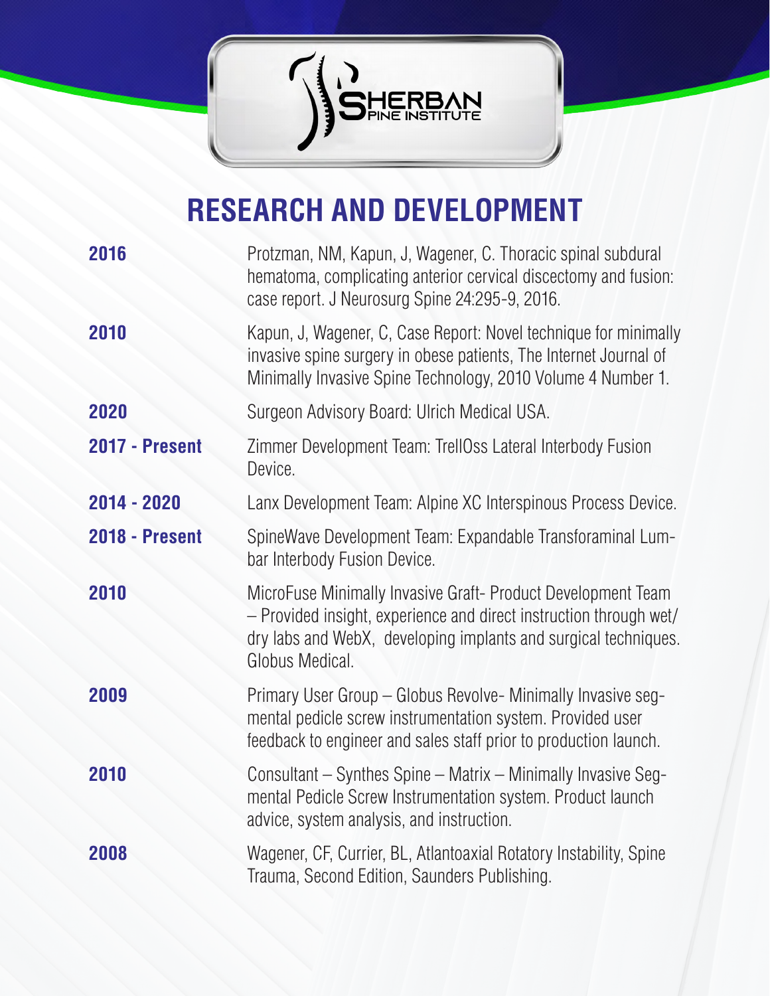

# **RESEARCH AND DEVELOPMENT**

| 2016           | Protzman, NM, Kapun, J, Wagener, C. Thoracic spinal subdural<br>hematoma, complicating anterior cervical discectomy and fusion:<br>case report. J Neurosurg Spine 24:295-9, 2016.                                        |
|----------------|--------------------------------------------------------------------------------------------------------------------------------------------------------------------------------------------------------------------------|
| 2010           | Kapun, J, Wagener, C, Case Report: Novel technique for minimally<br>invasive spine surgery in obese patients, The Internet Journal of<br>Minimally Invasive Spine Technology, 2010 Volume 4 Number 1.                    |
| 2020           | Surgeon Advisory Board: Ulrich Medical USA.                                                                                                                                                                              |
| 2017 - Present | Zimmer Development Team: TrellOss Lateral Interbody Fusion<br>Device.                                                                                                                                                    |
| 2014 - 2020    | Lanx Development Team: Alpine XC Interspinous Process Device.                                                                                                                                                            |
| 2018 - Present | SpineWave Development Team: Expandable Transforaminal Lum-<br>bar Interbody Fusion Device.                                                                                                                               |
| 2010           | MicroFuse Minimally Invasive Graft- Product Development Team<br>- Provided insight, experience and direct instruction through wet/<br>dry labs and WebX, developing implants and surgical techniques.<br>Globus Medical. |
| 2009           | Primary User Group - Globus Revolve- Minimally Invasive seg-<br>mental pedicle screw instrumentation system. Provided user<br>feedback to engineer and sales staff prior to production launch.                           |
| 2010           | Consultant – Synthes Spine – Matrix – Minimally Invasive Seg-<br>mental Pedicle Screw Instrumentation system. Product launch<br>advice, system analysis, and instruction.                                                |
| 2008           | Wagener, CF, Currier, BL, Atlantoaxial Rotatory Instability, Spine<br>Trauma, Second Edition, Saunders Publishing.                                                                                                       |